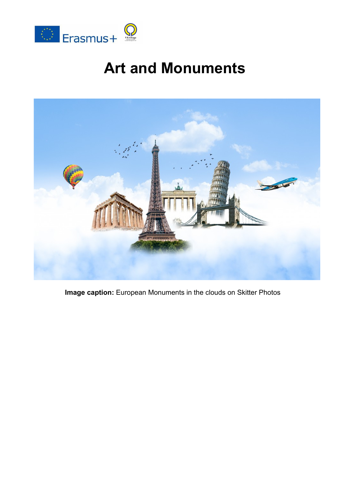

# **Art and Monuments**



**Image caption:** European Monuments in the clouds on Skitter Photos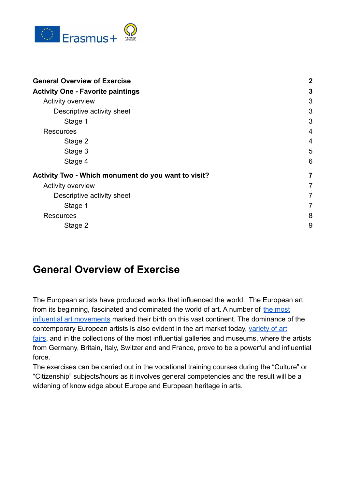

| <b>General Overview of Exercise</b>                                  | $\boldsymbol{2}$        |
|----------------------------------------------------------------------|-------------------------|
| <b>Activity One - Favorite paintings</b><br><b>Activity overview</b> | 3<br>3                  |
|                                                                      |                         |
| Stage 1                                                              | 3                       |
| <b>Resources</b>                                                     | $\overline{4}$          |
| Stage 2                                                              | $\overline{4}$          |
| Stage 3                                                              | 5                       |
| Stage 4                                                              | 6                       |
| Activity Two - Which monument do you want to visit?                  | $\overline{\mathbf{r}}$ |
| <b>Activity overview</b>                                             | 7                       |
| Descriptive activity sheet                                           | $\overline{7}$          |
| Stage 1                                                              | $\overline{7}$          |
| Resources                                                            | 8                       |
| Stage 2                                                              | 9                       |

### <span id="page-1-0"></span>**General Overview of Exercise**

The European artists have produced works that influenced the world. The European art, from its beginning, fascinated and dominated the world of art. A number of [the most](https://www.widewalls.ch/100-years-dadaism-dada-art-movement/) [influential art movements](https://www.widewalls.ch/100-years-dadaism-dada-art-movement/) marked their birth on this vast continent. The dominance of the contemporary European artists is also evident in the art market today, [variety of art](https://www.widewalls.ch/art-fairs-early-2016/) [fairs](https://www.widewalls.ch/art-fairs-early-2016/), and in the collections of the most influential galleries and museums, where the artists from Germany, Britain, Italy, Switzerland and France, prove to be a powerful and influential force.

The exercises can be carried out in the vocational training courses during the "Culture" or "Citizenship" subjects/hours as it involves general competencies and the result will be a widening of knowledge about Europe and European heritage in arts.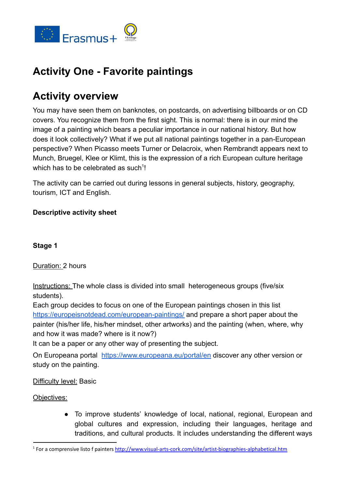

## <span id="page-2-0"></span>**Activity One - Favorite paintings**

## <span id="page-2-1"></span>**Activity overview**

You may have seen them on banknotes, on postcards, on advertising billboards or on CD covers. You recognize them from the first sight. This is normal: there is in our mind the image of a painting which bears a peculiar importance in our national history. But how does it look collectively? What if we put all national paintings together in a pan-European perspective? When Picasso meets Turner or Delacroix, when Rembrandt appears next to Munch, Bruegel, Klee or Klimt, this is the expression of a rich European culture heritage which has to be celebrated as such<sup>1</sup>!

The activity can be carried out during lessons in general subjects, history, geography, tourism, ICT and English.

#### <span id="page-2-2"></span>**Descriptive activity sheet**

#### <span id="page-2-3"></span>**Stage 1**

Duration: 2 hours

Instructions: The whole class is divided into small heterogeneous groups (five/six students).

Each group decides to focus on one of the European paintings chosen in this list <https://europeisnotdead.com/european-paintings/> and prepare a short paper about the painter (his/her life, his/her mindset, other artworks) and the painting (when, where, why and how it was made? where is it now?)

It can be a paper or any other way of presenting the subject.

On Europeana portal <https://www.europeana.eu/portal/en> discover any other version or study on the painting.

Difficulty level: Basic

Objectives:

● To improve students' knowledge of local, national, regional, European and global cultures and expression, including their languages, heritage and traditions, and cultural products. It includes understanding the different ways

<sup>1</sup> For a comprensive listo f painters <http://www.visual-arts-cork.com/site/artist-biographies-alphabetical.htm>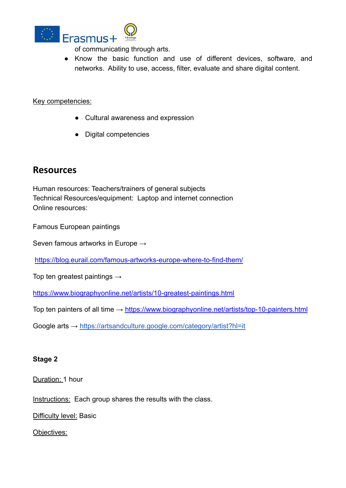

of communicating through arts.

● Know the basic function and use of different devices, software, and networks. Ability to use, access, filter, evaluate and share digital content.

#### Key competencies:

- Cultural awareness and expression
- Digital competencies

### <span id="page-3-0"></span>**Resources**

Human resources: Teachers/trainers of general subjects Technical Resources/equipment: Laptop and internet connection Online resources:

Famous European paintings

Seven famous artworks in Europe  $\rightarrow$ 

<https://blog.eurail.com/famous-artworks-europe-where-to-find-them/>

Top ten greatest paintings  $\rightarrow$ 

<https://www.biographyonline.net/artists/10-greatest-paintings.html>

Top ten painters of all time  $\rightarrow$  <https://www.biographyonline.net/artists/top-10-painters.html>

Google arts → <https://artsandculture.google.com/category/artist?hl=it>

#### <span id="page-3-1"></span>**Stage 2**

Duration: 1 hour

Instructions: Each group shares the results with the class.

Difficulty level: Basic

Objectives: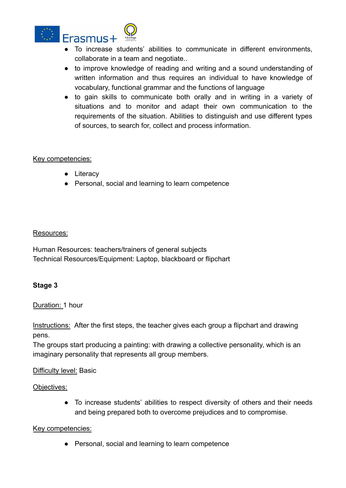

- To increase students' abilities to communicate in different environments, collaborate in a team and negotiate..
- to improve knowledge of reading and writing and a sound understanding of written information and thus requires an individual to have knowledge of vocabulary, functional grammar and the functions of language
- to gain skills to communicate both orally and in writing in a variety of situations and to monitor and adapt their own communication to the requirements of the situation. Abilities to distinguish and use different types of sources, to search for, collect and process information.

#### Key competencies:

- Literacy
- Personal, social and learning to learn competence

#### Resources:

Human Resources: teachers/trainers of general subjects Technical Resources/Equipment: Laptop, blackboard or flipchart

#### <span id="page-4-0"></span>**Stage 3**

#### Duration: 1 hour

Instructions: After the first steps, the teacher gives each group a flipchart and drawing pens.

The groups start producing a painting: with drawing a collective personality, which is an imaginary personality that represents all group members.

#### Difficulty level: Basic

#### Objectives:

● To increase students' abilities to respect diversity of others and their needs and being prepared both to overcome prejudices and to compromise.

#### Key competencies:

● Personal, social and learning to learn competence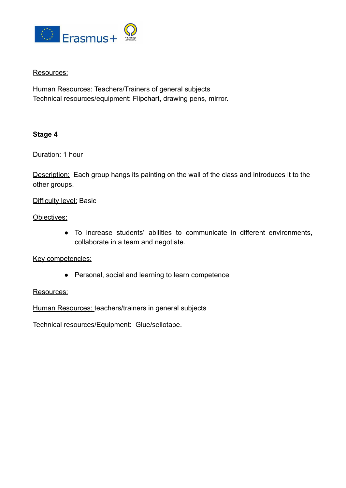

#### Resources:

Human Resources: Teachers/Trainers of general subjects Technical resources/equipment: Flipchart, drawing pens, mirror.

#### <span id="page-5-0"></span>**Stage 4**

Duration: 1 hour

Description: Each group hangs its painting on the wall of the class and introduces it to the other groups.

#### Difficulty level: Basic

Objectives:

● To increase students' abilities to communicate in different environments, collaborate in a team and negotiate.

Key competencies:

● Personal, social and learning to learn competence

#### Resources:

Human Resources: teachers/trainers in general subjects

Technical resources/Equipment: Glue/sellotape.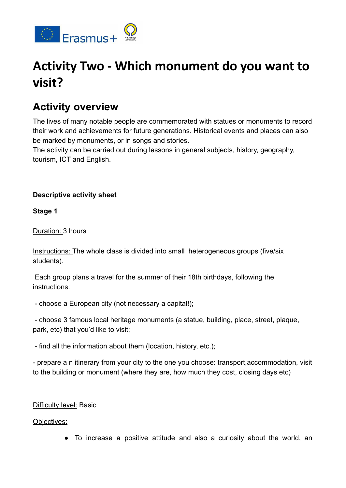

# <span id="page-6-0"></span>**Activity Two - Which monument do you want to visit?**

### <span id="page-6-1"></span>**Activity overview**

The lives of many notable people are commemorated with statues or monuments to record their work and achievements for future generations. Historical events and places can also be marked by monuments, or in songs and stories.

The activity can be carried out during lessons in general subjects, history, geography, tourism, ICT and English.

#### <span id="page-6-2"></span>**Descriptive activity sheet**

<span id="page-6-3"></span>**Stage 1**

Duration: 3 hours

Instructions: The whole class is divided into small heterogeneous groups (five/six students).

Each group plans a travel for the summer of their 18th birthdays, following the instructions:

- choose a European city (not necessary a capital!);

- choose 3 famous local heritage monuments (a statue, building, place, street, plaque, park, etc) that you'd like to visit;

- find all the information about them (location, history, etc.);

- prepare a n itinerary from your city to the one you choose: transport,accommodation, visit to the building or monument (where they are, how much they cost, closing days etc)

#### Difficulty level: Basic

Objectives:

● To increase a positive attitude and also a curiosity about the world, an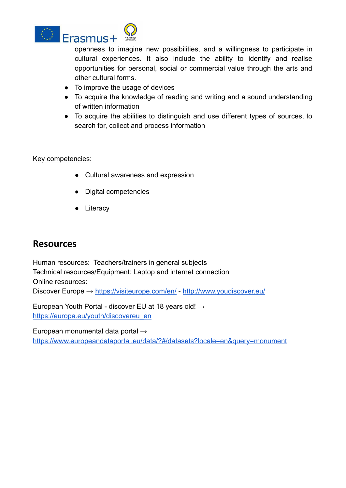

openness to imagine new possibilities, and a willingness to participate in cultural experiences. It also include the ability to identify and realise opportunities for personal, social or commercial value through the arts and other cultural forms.

- To improve the usage of devices
- To acquire the knowledge of reading and writing and a sound understanding of written information
- To acquire the abilities to distinguish and use different types of sources, to search for, collect and process information

#### Key competencies:

- Cultural awareness and expression
- Digital competencies
- Literacy

### <span id="page-7-0"></span>**Resources**

Human resources: Teachers/trainers in general subjects Technical resources/Equipment: Laptop and internet connection Online resources: Discover Europe → <https://visiteurope.com/en/> - <http://www.youdiscover.eu/>

European Youth Portal - discover EU at 18 years old! → [https://europa.eu/youth/discovereu\\_en](https://europa.eu/youth/discovereu_en)

European monumental data portal →

<https://www.europeandataportal.eu/data/?#/datasets?locale=en&query=monument>